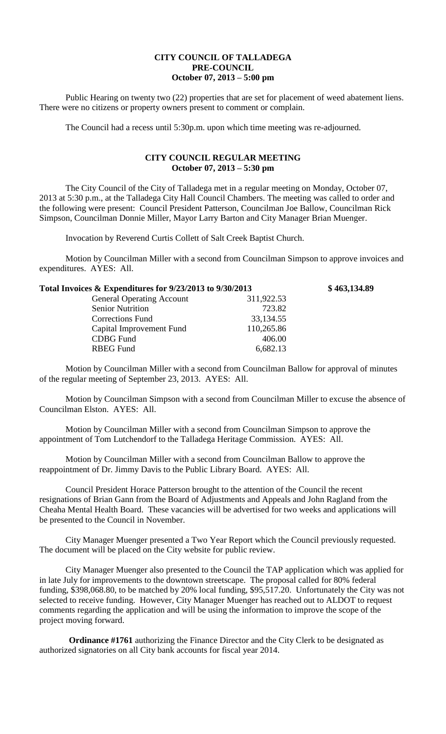## **CITY COUNCIL OF TALLADEGA PRE-COUNCIL October 07, 2013 – 5:00 pm**

Public Hearing on twenty two (22) properties that are set for placement of weed abatement liens. There were no citizens or property owners present to comment or complain.

The Council had a recess until 5:30p.m. upon which time meeting was re-adjourned.

## **CITY COUNCIL REGULAR MEETING October 07, 2013 – 5:30 pm**

The City Council of the City of Talladega met in a regular meeting on Monday, October 07, 2013 at 5:30 p.m., at the Talladega City Hall Council Chambers. The meeting was called to order and the following were present: Council President Patterson, Councilman Joe Ballow, Councilman Rick Simpson, Councilman Donnie Miller, Mayor Larry Barton and City Manager Brian Muenger.

Invocation by Reverend Curtis Collett of Salt Creek Baptist Church.

Motion by Councilman Miller with a second from Councilman Simpson to approve invoices and expenditures. AYES: All.

| Total Invoices & Expenditures for 9/23/2013 to 9/30/2013 |            | \$463,134.89 |
|----------------------------------------------------------|------------|--------------|
| <b>General Operating Account</b>                         | 311,922.53 |              |
| <b>Senior Nutrition</b>                                  | 723.82     |              |
| <b>Corrections Fund</b>                                  | 33,134.55  |              |
| Capital Improvement Fund                                 | 110,265.86 |              |
| <b>CDBG</b> Fund                                         | 406.00     |              |
| <b>RBEG</b> Fund                                         | 6,682.13   |              |
|                                                          |            |              |

Motion by Councilman Miller with a second from Councilman Ballow for approval of minutes of the regular meeting of September 23, 2013. AYES: All.

Motion by Councilman Simpson with a second from Councilman Miller to excuse the absence of Councilman Elston. AYES: All.

Motion by Councilman Miller with a second from Councilman Simpson to approve the appointment of Tom Lutchendorf to the Talladega Heritage Commission. AYES: All.

Motion by Councilman Miller with a second from Councilman Ballow to approve the reappointment of Dr. Jimmy Davis to the Public Library Board. AYES: All.

Council President Horace Patterson brought to the attention of the Council the recent resignations of Brian Gann from the Board of Adjustments and Appeals and John Ragland from the Cheaha Mental Health Board. These vacancies will be advertised for two weeks and applications will be presented to the Council in November.

City Manager Muenger presented a Two Year Report which the Council previously requested. The document will be placed on the City website for public review.

City Manager Muenger also presented to the Council the TAP application which was applied for in late July for improvements to the downtown streetscape. The proposal called for 80% federal funding, \$398,068.80, to be matched by 20% local funding, \$95,517.20. Unfortunately the City was not selected to receive funding. However, City Manager Muenger has reached out to ALDOT to request comments regarding the application and will be using the information to improve the scope of the project moving forward.

**Ordinance #1761** authorizing the Finance Director and the City Clerk to be designated as authorized signatories on all City bank accounts for fiscal year 2014.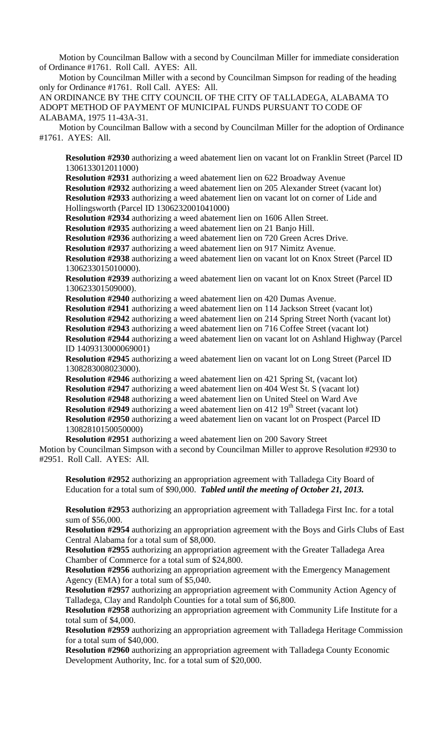Motion by Councilman Ballow with a second by Councilman Miller for immediate consideration of Ordinance #1761. Roll Call. AYES: All.

Motion by Councilman Miller with a second by Councilman Simpson for reading of the heading only for Ordinance #1761. Roll Call. AYES: All.

AN ORDINANCE BY THE CITY COUNCIL OF THE CITY OF TALLADEGA, ALABAMA TO ADOPT METHOD OF PAYMENT OF MUNICIPAL FUNDS PURSUANT TO CODE OF ALABAMA, 1975 11-43A-31.

Motion by Councilman Ballow with a second by Councilman Miller for the adoption of Ordinance #1761. AYES: All.

**Resolution #2930** authorizing a weed abatement lien on vacant lot on Franklin Street (Parcel ID 1306133012011000)

**Resolution #2931** authorizing a weed abatement lien on 622 Broadway Avenue **Resolution #2932** authorizing a weed abatement lien on 205 Alexander Street (vacant lot) **Resolution #2933** authorizing a weed abatement lien on vacant lot on corner of Lide and Hollingsworth (Parcel ID 1306232001041000)

**Resolution #2934** authorizing a weed abatement lien on 1606 Allen Street.

**Resolution #2935** authorizing a weed abatement lien on 21 Banjo Hill.

**Resolution #2936** authorizing a weed abatement lien on 720 Green Acres Drive.

**Resolution #2937** authorizing a weed abatement lien on 917 Nimitz Avenue.

**Resolution #2938** authorizing a weed abatement lien on vacant lot on Knox Street (Parcel ID 1306233015010000).

**Resolution #2939** authorizing a weed abatement lien on vacant lot on Knox Street (Parcel ID 130623301509000).

**Resolution #2940** authorizing a weed abatement lien on 420 Dumas Avenue.

**Resolution #2941** authorizing a weed abatement lien on 114 Jackson Street (vacant lot) **Resolution #2942** authorizing a weed abatement lien on 214 Spring Street North (vacant lot) **Resolution #2943** authorizing a weed abatement lien on 716 Coffee Street (vacant lot) **Resolution #2944** authorizing a weed abatement lien on vacant lot on Ashland Highway (Parcel

ID 1409313000069001) **Resolution #2945** authorizing a weed abatement lien on vacant lot on Long Street (Parcel ID 1308283008023000).

**Resolution #2946** authorizing a weed abatement lien on 421 Spring St, (vacant lot) **Resolution #2947** authorizing a weed abatement lien on 404 West St. S (vacant lot) **Resolution #2948** authorizing a weed abatement lien on United Steel on Ward Ave **Resolution #2949** authorizing a weed abatement lien on 412 19<sup>th</sup> Street (vacant lot) **Resolution #2950** authorizing a weed abatement lien on vacant lot on Prospect (Parcel ID 13082810150050000)

**Resolution #2951** authorizing a weed abatement lien on 200 Savory Street Motion by Councilman Simpson with a second by Councilman Miller to approve Resolution #2930 to #2951. Roll Call. AYES: All.

**Resolution #2952** authorizing an appropriation agreement with Talladega City Board of Education for a total sum of \$90,000. *Tabled until the meeting of October 21, 2013.*

**Resolution #2953** authorizing an appropriation agreement with Talladega First Inc. for a total sum of \$56,000.

**Resolution #2954** authorizing an appropriation agreement with the Boys and Girls Clubs of East Central Alabama for a total sum of \$8,000.

**Resolution #2955** authorizing an appropriation agreement with the Greater Talladega Area Chamber of Commerce for a total sum of \$24,800.

**Resolution #2956** authorizing an appropriation agreement with the Emergency Management Agency (EMA) for a total sum of \$5,040.

**Resolution #2957** authorizing an appropriation agreement with Community Action Agency of Talladega, Clay and Randolph Counties for a total sum of \$6,800.

**Resolution #2958** authorizing an appropriation agreement with Community Life Institute for a total sum of \$4,000.

**Resolution #2959** authorizing an appropriation agreement with Talladega Heritage Commission for a total sum of \$40,000.

**Resolution #2960** authorizing an appropriation agreement with Talladega County Economic Development Authority, Inc. for a total sum of \$20,000.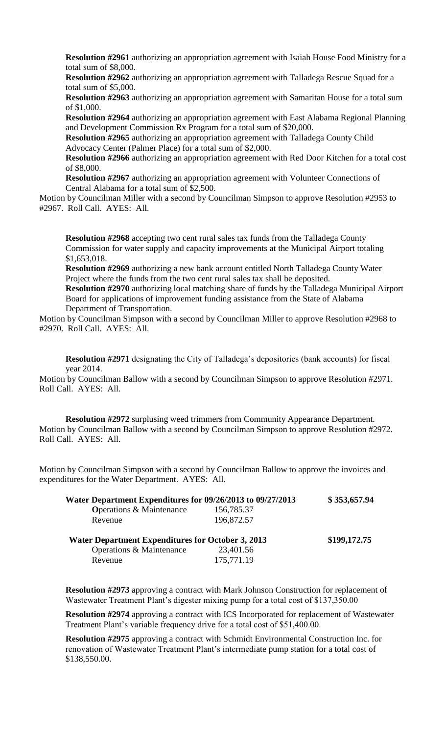**Resolution #2961** authorizing an appropriation agreement with Isaiah House Food Ministry for a total sum of \$8,000.

**Resolution #2962** authorizing an appropriation agreement with Talladega Rescue Squad for a total sum of \$5,000.

**Resolution #2963** authorizing an appropriation agreement with Samaritan House for a total sum of \$1,000.

**Resolution #2964** authorizing an appropriation agreement with East Alabama Regional Planning and Development Commission Rx Program for a total sum of \$20,000.

**Resolution #2965** authorizing an appropriation agreement with Talladega County Child Advocacy Center (Palmer Place) for a total sum of \$2,000.

**Resolution #2966** authorizing an appropriation agreement with Red Door Kitchen for a total cost of \$8,000.

**Resolution #2967** authorizing an appropriation agreement with Volunteer Connections of Central Alabama for a total sum of \$2,500.

Motion by Councilman Miller with a second by Councilman Simpson to approve Resolution #2953 to #2967. Roll Call. AYES: All.

**Resolution #2968** accepting two cent rural sales tax funds from the Talladega County Commission for water supply and capacity improvements at the Municipal Airport totaling \$1,653,018.

**Resolution #2969** authorizing a new bank account entitled North Talladega County Water Project where the funds from the two cent rural sales tax shall be deposited.

**Resolution #2970** authorizing local matching share of funds by the Talladega Municipal Airport Board for applications of improvement funding assistance from the State of Alabama Department of Transportation.

Motion by Councilman Simpson with a second by Councilman Miller to approve Resolution #2968 to #2970. Roll Call. AYES: All.

**Resolution #2971** designating the City of Talladega's depositories (bank accounts) for fiscal year 2014.

Motion by Councilman Ballow with a second by Councilman Simpson to approve Resolution #2971. Roll Call. AYES: All.

**Resolution #2972** surplusing weed trimmers from Community Appearance Department. Motion by Councilman Ballow with a second by Councilman Simpson to approve Resolution #2972. Roll Call. AYES: All.

Motion by Councilman Simpson with a second by Councilman Ballow to approve the invoices and expenditures for the Water Department. AYES: All.

| Water Department Expenditures for 09/26/2013 to 09/27/2013                                      |                         | \$353,657.94 |
|-------------------------------------------------------------------------------------------------|-------------------------|--------------|
| <b>Operations &amp; Maintenance</b>                                                             | 156,785.37              |              |
| Revenue                                                                                         | 196,872.57              |              |
| <b>Water Department Expenditures for October 3, 2013</b><br>Operations & Maintenance<br>Revenue | 23,401.56<br>175,771.19 | \$199,172.75 |

**Resolution #2973** approving a contract with Mark Johnson Construction for replacement of Wastewater Treatment Plant's digester mixing pump for a total cost of \$137,350.00

**Resolution #2974** approving a contract with ICS Incorporated for replacement of Wastewater Treatment Plant's variable frequency drive for a total cost of \$51,400.00.

**Resolution #2975** approving a contract with Schmidt Environmental Construction Inc. for renovation of Wastewater Treatment Plant's intermediate pump station for a total cost of \$138,550.00.